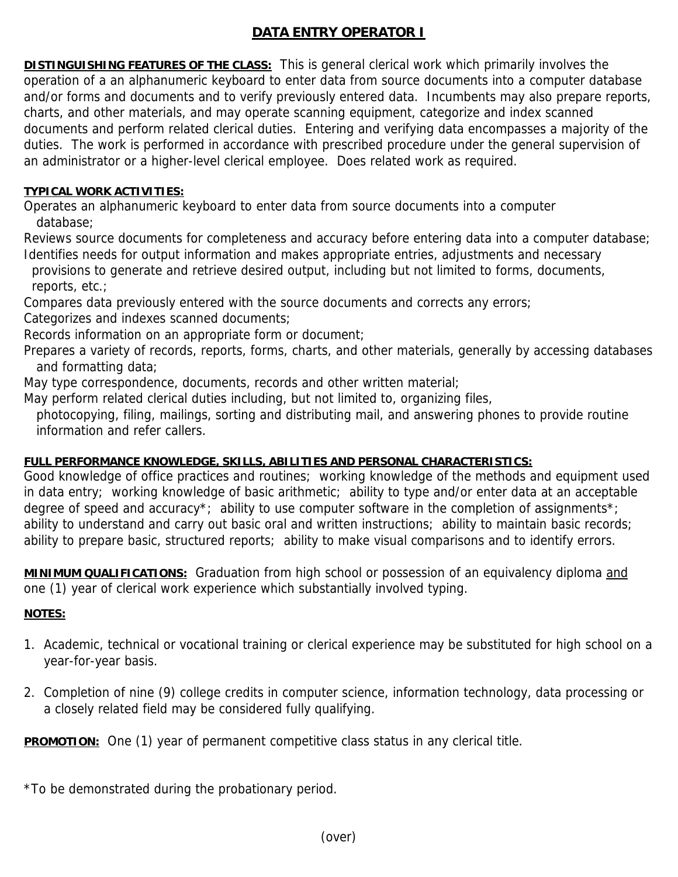# **DATA ENTRY OPERATOR I**

**DISTINGUISHING FEATURES OF THE CLASS:** This is general clerical work which primarily involves the operation of a an alphanumeric keyboard to enter data from source documents into a computer database and/or forms and documents and to verify previously entered data. Incumbents may also prepare reports, charts, and other materials, and may operate scanning equipment, categorize and index scanned documents and perform related clerical duties. Entering and verifying data encompasses a majority of the duties. The work is performed in accordance with prescribed procedure under the general supervision of an administrator or a higher-level clerical employee. Does related work as required.

#### **TYPICAL WORK ACTIVITIES:**

Operates an alphanumeric keyboard to enter data from source documents into a computer database;

Reviews source documents for completeness and accuracy before entering data into a computer database; Identifies needs for output information and makes appropriate entries, adjustments and necessary

provisions to generate and retrieve desired output, including but not limited to forms, documents, reports, etc.;

Compares data previously entered with the source documents and corrects any errors;

Categorizes and indexes scanned documents;

Records information on an appropriate form or document;

Prepares a variety of records, reports, forms, charts, and other materials, generally by accessing databases and formatting data;

May type correspondence, documents, records and other written material;

May perform related clerical duties including, but not limited to, organizing files,

 photocopying, filing, mailings, sorting and distributing mail, and answering phones to provide routine information and refer callers.

## **FULL PERFORMANCE KNOWLEDGE, SKILLS, ABILITIES AND PERSONAL CHARACTERISTICS:**

Good knowledge of office practices and routines; working knowledge of the methods and equipment used in data entry; working knowledge of basic arithmetic; ability to type and/or enter data at an acceptable degree of speed and accuracy<sup>\*</sup>; ability to use computer software in the completion of assignments<sup>\*</sup>; ability to understand and carry out basic oral and written instructions; ability to maintain basic records; ability to prepare basic, structured reports; ability to make visual comparisons and to identify errors.

**MINIMUM QUALIFICATIONS:** Graduation from high school or possession of an equivalency diploma and one (1) year of clerical work experience which substantially involved typing.

## **NOTES:**

- 1. Academic, technical or vocational training or clerical experience may be substituted for high school on a year-for-year basis.
- 2. Completion of nine (9) college credits in computer science, information technology, data processing or a closely related field may be considered fully qualifying.

**PROMOTION:** One (1) year of permanent competitive class status in any clerical title.

\*To be demonstrated during the probationary period.